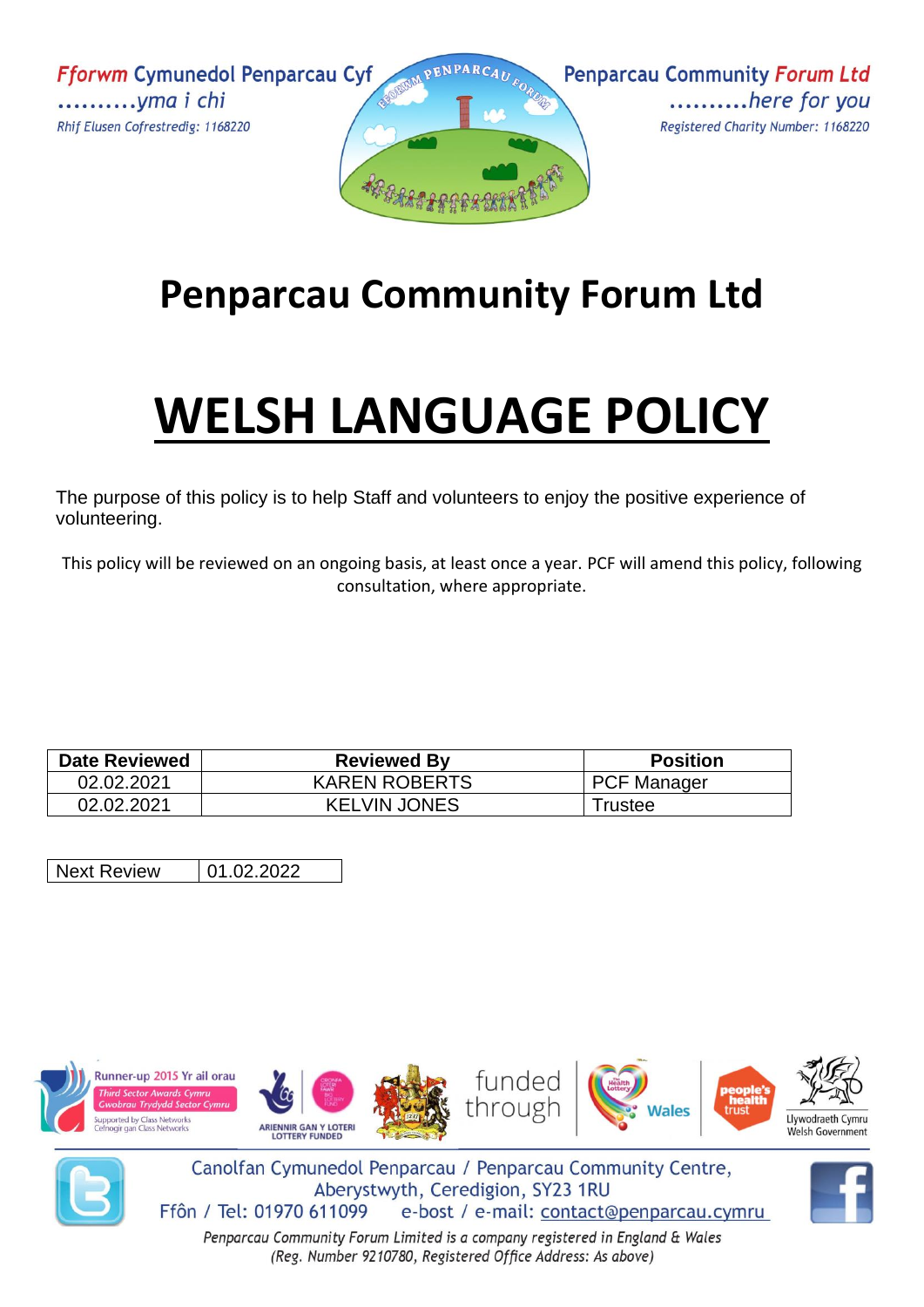**Fforwm Cymunedol Penparcau Cyf** ............*yma i chi* Rhif Elusen Cofrestredig: 1168220





# **Penparcau Community Forum Ltd**

# **WELSH LANGUAGE POLICY**

The purpose of this policy is to help Staff and volunteers to enjoy the positive experience of volunteering.

This policy will be reviewed on an ongoing basis, at least once a year. PCF will amend this policy, following consultation, where appropriate.

| <b>Date Reviewed</b> | <b>Reviewed By</b>   | <b>Position</b>    |
|----------------------|----------------------|--------------------|
| 02.02.2021           | <b>KAREN ROBERTS</b> | <b>PCF Manager</b> |
| 02.02.2021           | <b>KELVIN JONES</b>  | ⊺rustee            |

Next Review | 01.02.2022





Canolfan Cymunedol Penparcau / Penparcau Community Centre, Aberystwyth, Ceredigion, SY23 1RU Ffôn / Tel: 01970 611099 e-bost / e-mail: contact@penparcau.cymru

Penparcau Community Forum Limited is a company registered in England & Wales (Reg. Number 9210780, Registered Office Address: As above)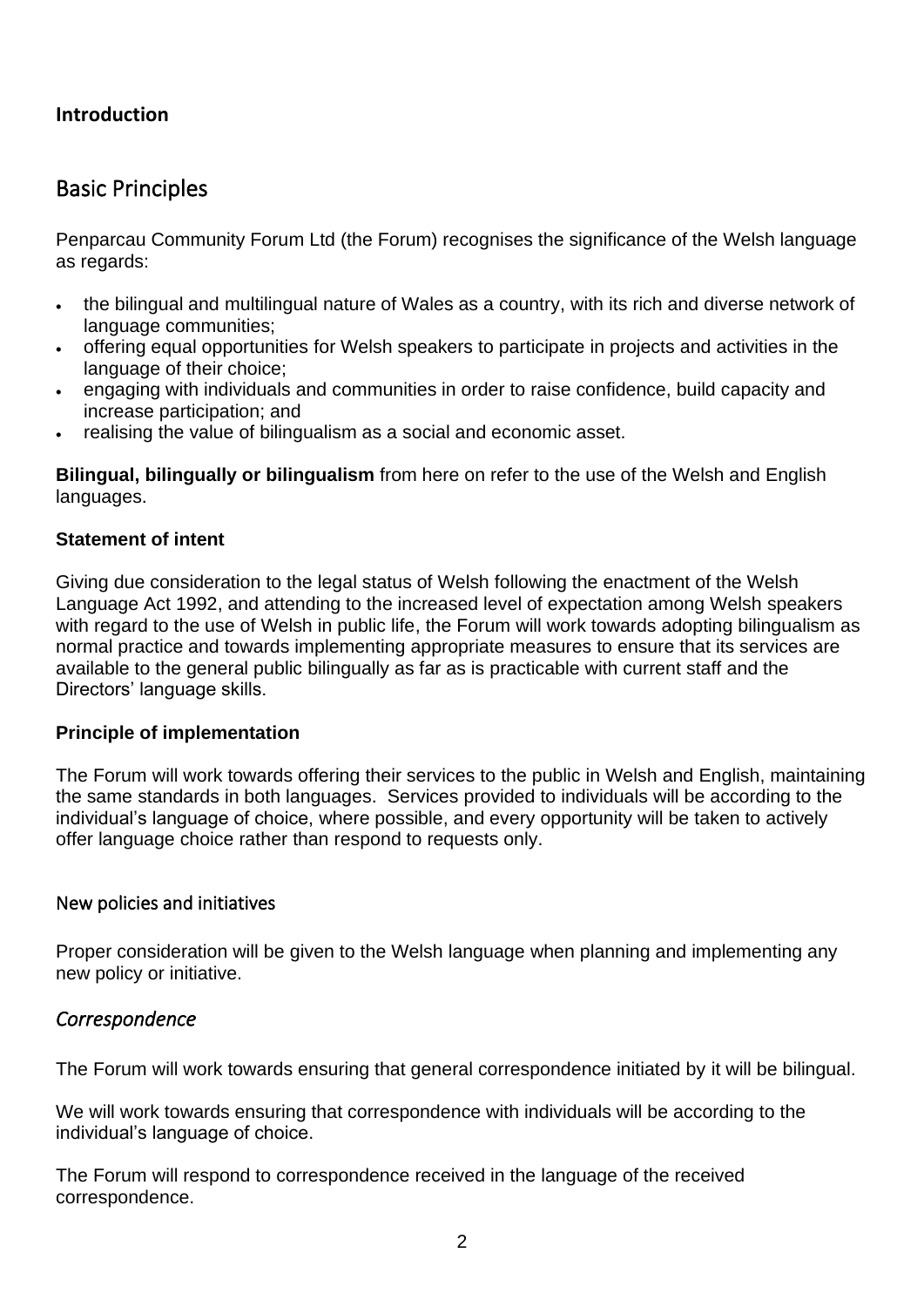# **Introduction**

# Basic Principles

Penparcau Community Forum Ltd (the Forum) recognises the significance of the Welsh language as regards:

- the bilingual and multilingual nature of Wales as a country, with its rich and diverse network of language communities;
- offering equal opportunities for Welsh speakers to participate in projects and activities in the language of their choice;
- engaging with individuals and communities in order to raise confidence, build capacity and increase participation; and
- realising the value of bilingualism as a social and economic asset.

**Bilingual, bilingually or bilingualism** from here on refer to the use of the Welsh and English languages.

#### **Statement of intent**

Giving due consideration to the legal status of Welsh following the enactment of the Welsh Language Act 1992, and attending to the increased level of expectation among Welsh speakers with regard to the use of Welsh in public life, the Forum will work towards adopting bilingualism as normal practice and towards implementing appropriate measures to ensure that its services are available to the general public bilingually as far as is practicable with current staff and the Directors' language skills.

#### **Principle of implementation**

The Forum will work towards offering their services to the public in Welsh and English, maintaining the same standards in both languages. Services provided to individuals will be according to the individual's language of choice, where possible, and every opportunity will be taken to actively offer language choice rather than respond to requests only.

#### New policies and initiatives

Proper consideration will be given to the Welsh language when planning and implementing any new policy or initiative.

# *Correspondence*

The Forum will work towards ensuring that general correspondence initiated by it will be bilingual.

We will work towards ensuring that correspondence with individuals will be according to the individual's language of choice.

The Forum will respond to correspondence received in the language of the received correspondence.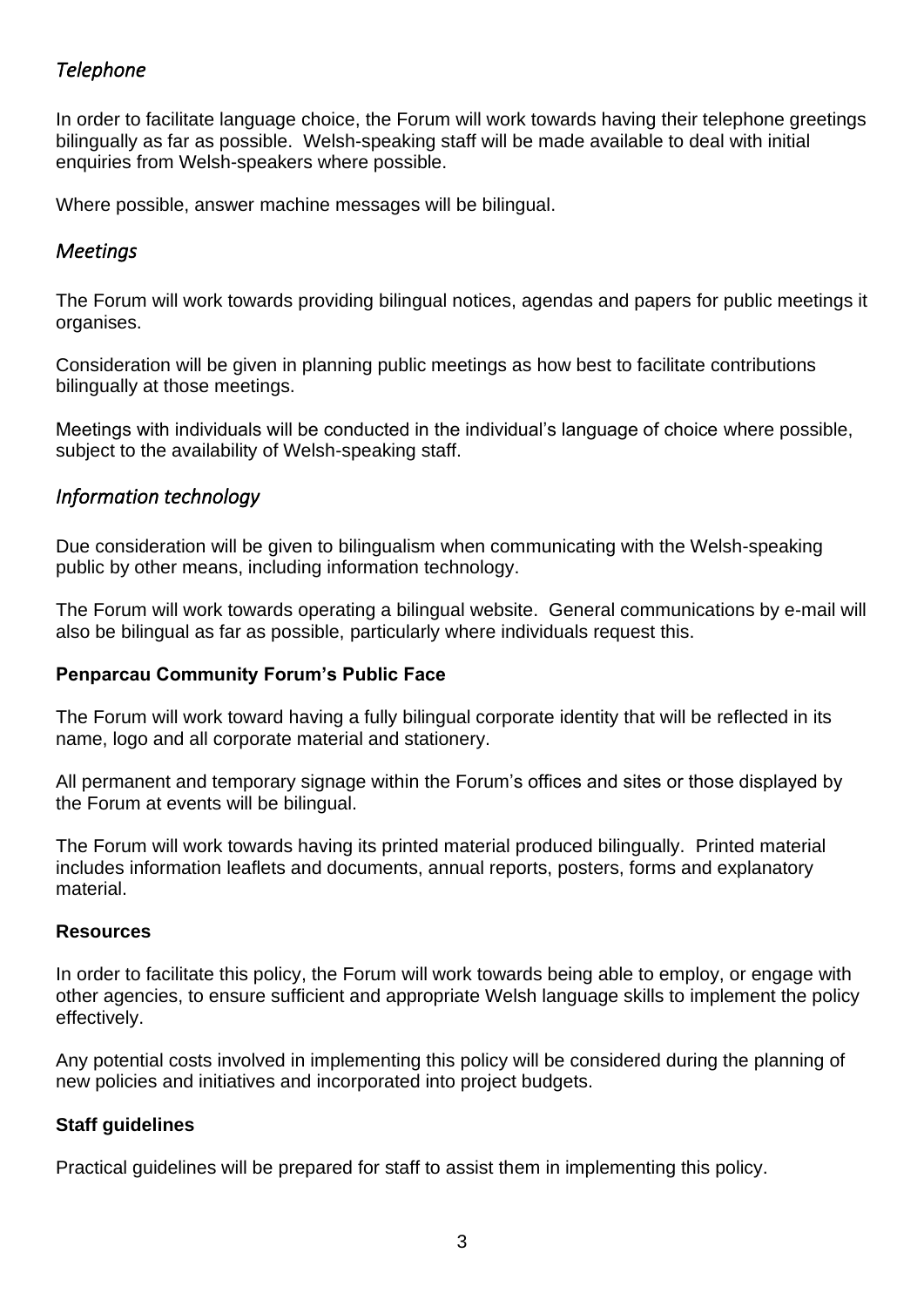# *Telephone*

In order to facilitate language choice, the Forum will work towards having their telephone greetings bilingually as far as possible. Welsh-speaking staff will be made available to deal with initial enquiries from Welsh-speakers where possible.

Where possible, answer machine messages will be bilingual.

# *Meetings*

The Forum will work towards providing bilingual notices, agendas and papers for public meetings it organises.

Consideration will be given in planning public meetings as how best to facilitate contributions bilingually at those meetings.

Meetings with individuals will be conducted in the individual's language of choice where possible, subject to the availability of Welsh-speaking staff.

# *Information technology*

Due consideration will be given to bilingualism when communicating with the Welsh-speaking public by other means, including information technology.

The Forum will work towards operating a bilingual website. General communications by e-mail will also be bilingual as far as possible, particularly where individuals request this.

# **Penparcau Community Forum's Public Face**

The Forum will work toward having a fully bilingual corporate identity that will be reflected in its name, logo and all corporate material and stationery.

All permanent and temporary signage within the Forum's offices and sites or those displayed by the Forum at events will be bilingual.

The Forum will work towards having its printed material produced bilingually. Printed material includes information leaflets and documents, annual reports, posters, forms and explanatory material.

#### **Resources**

In order to facilitate this policy, the Forum will work towards being able to employ, or engage with other agencies, to ensure sufficient and appropriate Welsh language skills to implement the policy effectively.

Any potential costs involved in implementing this policy will be considered during the planning of new policies and initiatives and incorporated into project budgets.

# **Staff guidelines**

Practical guidelines will be prepared for staff to assist them in implementing this policy.